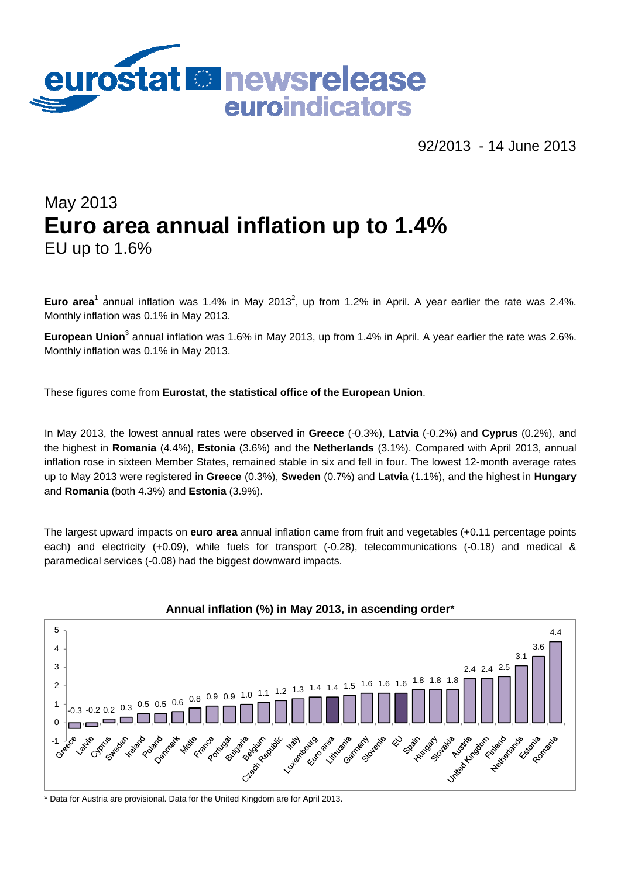

92/2013 - 14 June 2013

# May 2013 **Euro area annual inflation up to 1.4%**  EU up to 1.6%

**Euro area**<sup>1</sup> annual inflation was 1.4% in May 2013<sup>2</sup>, up from 1.2% in April. A year earlier the rate was 2.4%. Monthly inflation was 0.1% in May 2013.

European Union<sup>3</sup> annual inflation was 1.6% in May 2013, up from 1.4% in April. A year earlier the rate was 2.6%. Monthly inflation was 0.1% in May 2013.

These figures come from **Eurostat**, **the statistical office of the European Union**.

In May 2013, the lowest annual rates were observed in **Greece** (-0.3%), **Latvia** (-0.2%) and **Cyprus** (0.2%), and the highest in **Romania** (4.4%), **Estonia** (3.6%) and the **Netherlands** (3.1%). Compared with April 2013, annual inflation rose in sixteen Member States, remained stable in six and fell in four. The lowest 12-month average rates up to May 2013 were registered in **Greece** (0.3%), **Sweden** (0.7%) and **Latvia** (1.1%), and the highest in **Hungary**  and **Romania** (both 4.3%) and **Estonia** (3.9%).

The largest upward impacts on **euro area** annual inflation came from fruit and vegetables (+0.11 percentage points each) and electricity (+0.09), while fuels for transport (-0.28), telecommunications (-0.18) and medical & paramedical services (-0.08) had the biggest downward impacts.



**Annual inflation (%) in May 2013, in ascending order**\*

\* Data for Austria are provisional. Data for the United Kingdom are for April 2013.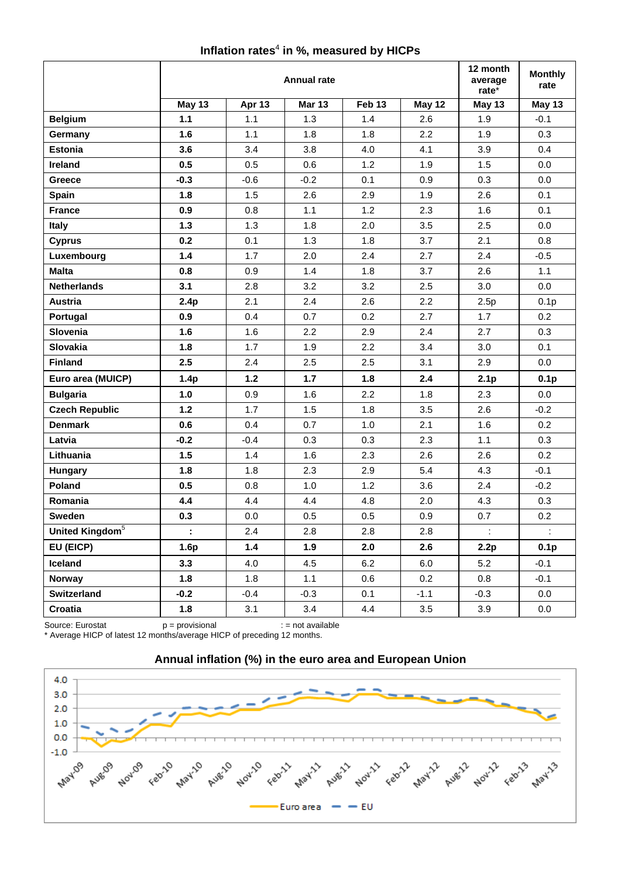#### Inflation rates<sup>4</sup> in %, measured by HICPs

|                             | <b>Annual rate</b>          |        |               |                   |               | 12 month<br>average<br>rate* | <b>Monthly</b><br>rate |
|-----------------------------|-----------------------------|--------|---------------|-------------------|---------------|------------------------------|------------------------|
|                             | <b>May 13</b>               | Apr 13 | <b>Mar 13</b> | Feb <sub>13</sub> | <b>May 12</b> | May 13                       | <b>May 13</b>          |
| <b>Belgium</b>              | $1.1$                       | 1.1    | 1.3           | 1.4               | 2.6           | 1.9                          | $-0.1$                 |
| Germany                     | 1.6                         | 1.1    | 1.8           | 1.8               | 2.2           | 1.9                          | 0.3                    |
| <b>Estonia</b>              | 3.6                         | 3.4    | 3.8           | 4.0               | 4.1           | 3.9                          | 0.4                    |
| Ireland                     | 0.5                         | 0.5    | 0.6           | 1.2               | 1.9           | 1.5                          | 0.0                    |
| Greece                      | $-0.3$                      | $-0.6$ | $-0.2$        | 0.1               | 0.9           | 0.3                          | 0.0                    |
| Spain                       | 1.8                         | 1.5    | 2.6           | 2.9               | 1.9           | 2.6                          | 0.1                    |
| <b>France</b>               | 0.9                         | 0.8    | 1.1           | 1.2               | 2.3           | 1.6                          | 0.1                    |
| Italy                       | $1.3$                       | 1.3    | 1.8           | 2.0               | 3.5           | 2.5                          | 0.0                    |
| <b>Cyprus</b>               | 0.2                         | 0.1    | 1.3           | 1.8               | 3.7           | 2.1                          | 0.8                    |
| Luxembourg                  | 1.4                         | 1.7    | 2.0           | 2.4               | 2.7           | 2.4                          | $-0.5$                 |
| <b>Malta</b>                | 0.8                         | 0.9    | 1.4           | 1.8               | 3.7           | 2.6                          | 1.1                    |
| <b>Netherlands</b>          | 3.1                         | 2.8    | 3.2           | 3.2               | 2.5           | 3.0                          | 0.0                    |
| <b>Austria</b>              | 2.4p                        | 2.1    | 2.4           | 2.6               | 2.2           | 2.5p                         | 0.1 <sub>p</sub>       |
| Portugal                    | 0.9                         | 0.4    | 0.7           | 0.2               | 2.7           | 1.7                          | 0.2                    |
| Slovenia                    | 1.6                         | 1.6    | 2.2           | 2.9               | 2.4           | 2.7                          | 0.3                    |
| <b>Slovakia</b>             | 1.8                         | 1.7    | 1.9           | 2.2               | 3.4           | 3.0                          | 0.1                    |
| <b>Finland</b>              | 2.5                         | 2.4    | 2.5           | 2.5               | 3.1           | 2.9                          | 0.0                    |
| Euro area (MUICP)           | 1.4 <sub>p</sub>            | $1.2$  | 1.7           | 1.8               | 2.4           | 2.1 <sub>p</sub>             | 0.1 <sub>p</sub>       |
| <b>Bulgaria</b>             | 1.0                         | 0.9    | 1.6           | 2.2               | 1.8           | 2.3                          | 0.0                    |
| <b>Czech Republic</b>       | $1.2$                       | 1.7    | 1.5           | 1.8               | 3.5           | 2.6                          | $-0.2$                 |
| <b>Denmark</b>              | 0.6                         | 0.4    | 0.7           | 1.0               | 2.1           | 1.6                          | 0.2                    |
| Latvia                      | $-0.2$                      | $-0.4$ | 0.3           | 0.3               | 2.3           | 1.1                          | 0.3                    |
| Lithuania                   | 1.5                         | 1.4    | 1.6           | 2.3               | 2.6           | 2.6                          | 0.2                    |
| Hungary                     | 1.8                         | 1.8    | 2.3           | 2.9               | 5.4           | 4.3                          | $-0.1$                 |
| Poland                      | 0.5                         | 0.8    | 1.0           | 1.2               | 3.6           | 2.4                          | $-0.2$                 |
| Romania                     | 4.4                         | 4.4    | 4.4           | 4.8               | 2.0           | 4.3                          | 0.3                    |
| <b>Sweden</b>               | 0.3                         | 0.0    | 0.5           | 0.5               | 0.9           | 0.7                          | 0.2                    |
| United Kingdom <sup>5</sup> | $\mathcal{L}^{\mathcal{A}}$ | 2.4    | 2.8           | 2.8               | 2.8           | $\mathcal{L}$                | $\mathcal{L}$          |
| EU (EICP)                   | 1.6p                        | 1.4    | 1.9           | 2.0               | 2.6           | 2.2p                         | 0.1 <sub>p</sub>       |
| Iceland                     | 3.3                         | 4.0    | 4.5           | 6.2               | 6.0           | 5.2                          | $-0.1$                 |
| <b>Norway</b>               | 1.8                         | 1.8    | 1.1           | 0.6               | 0.2           | 0.8                          | $-0.1$                 |
| Switzerland                 | $-0.2$                      | $-0.4$ | $-0.3$        | 0.1               | $-1.1$        | $-0.3$                       | 0.0                    |
| Croatia                     | 1.8                         | 3.1    | 3.4           | 4.4               | 3.5           | 3.9                          | 0.0                    |

Source: Eurostat **p** = provisional **interpretting** : = not available \* Average HICP of latest 12 months/average HICP of preceding 12 months.



## **Annual inflation (%) in the euro area and European Union**